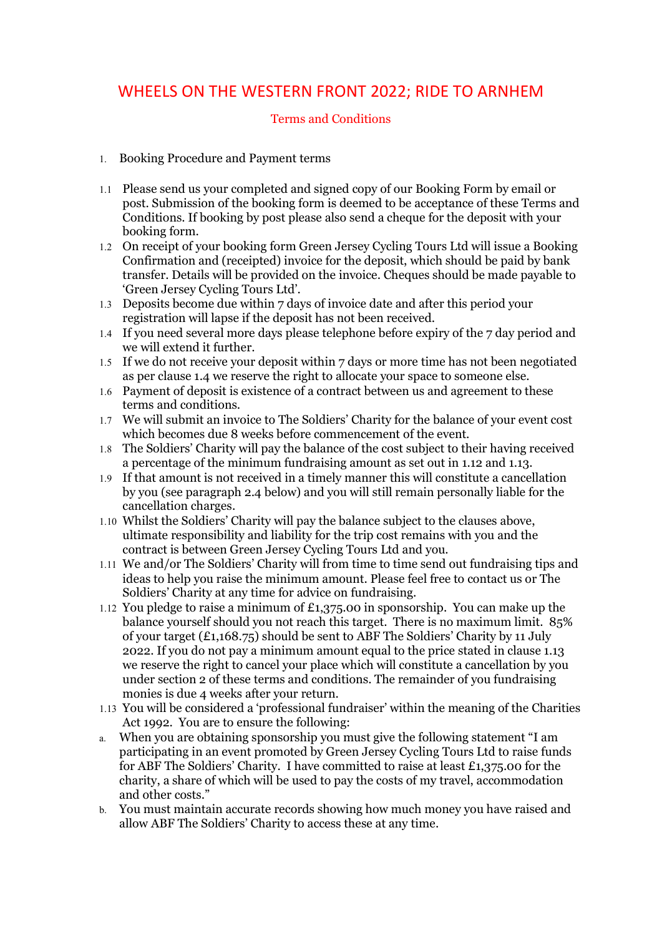## WHEELS ON THE WESTERN FRONT 2022; RIDE TO ARNHEM

## Terms and Conditions

- 1. Booking Procedure and Payment terms
- 1.1 Please send us your completed and signed copy of our Booking Form by email or post. Submission of the booking form is deemed to be acceptance of these Terms and Conditions. If booking by post please also send a cheque for the deposit with your booking form.
- 1.2 On receipt of your booking form Green Jersey Cycling Tours Ltd will issue a Booking Confirmation and (receipted) invoice for the deposit, which should be paid by bank transfer. Details will be provided on the invoice. Cheques should be made payable to 'Green Jersey Cycling Tours Ltd'.
- 1.3 Deposits become due within 7 days of invoice date and after this period your registration will lapse if the deposit has not been received.
- 1.4 If you need several more days please telephone before expiry of the 7 day period and we will extend it further.
- 1.5 If we do not receive your deposit within 7 days or more time has not been negotiated as per clause 1.4 we reserve the right to allocate your space to someone else.
- 1.6 Payment of deposit is existence of a contract between us and agreement to these terms and conditions.
- 1.7 We will submit an invoice to The Soldiers' Charity for the balance of your event cost which becomes due 8 weeks before commencement of the event.
- 1.8 The Soldiers' Charity will pay the balance of the cost subject to their having received a percentage of the minimum fundraising amount as set out in 1.12 and 1.13.
- 1.9 If that amount is not received in a timely manner this will constitute a cancellation by you (see paragraph 2.4 below) and you will still remain personally liable for the cancellation charges.
- 1.10 Whilst the Soldiers' Charity will pay the balance subject to the clauses above, ultimate responsibility and liability for the trip cost remains with you and the contract is between Green Jersey Cycling Tours Ltd and you.
- 1.11 We and/or The Soldiers' Charity will from time to time send out fundraising tips and ideas to help you raise the minimum amount. Please feel free to contact us or The Soldiers' Charity at any time for advice on fundraising.
- 1.12 You pledge to raise a minimum of £1,375.00 in sponsorship. You can make up the balance yourself should you not reach this target. There is no maximum limit. 85% of your target (£1,168.75) should be sent to ABF The Soldiers' Charity by 11 July 2022. If you do not pay a minimum amount equal to the price stated in clause 1.13 we reserve the right to cancel your place which will constitute a cancellation by you under section 2 of these terms and conditions. The remainder of you fundraising monies is due 4 weeks after your return.
- 1.13 You will be considered a 'professional fundraiser' within the meaning of the Charities Act 1992. You are to ensure the following:
- a. When you are obtaining sponsorship you must give the following statement "I am participating in an event promoted by Green Jersey Cycling Tours Ltd to raise funds for ABF The Soldiers' Charity. I have committed to raise at least £1,375.00 for the charity, a share of which will be used to pay the costs of my travel, accommodation and other costs."
- b. You must maintain accurate records showing how much money you have raised and allow ABF The Soldiers' Charity to access these at any time.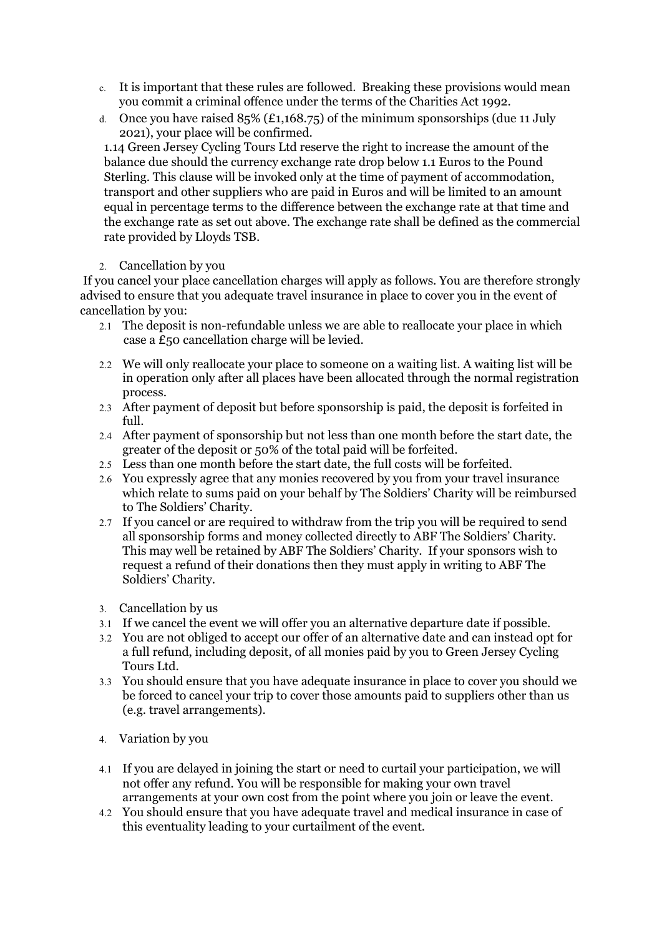- c. It is important that these rules are followed. Breaking these provisions would mean you commit a criminal offence under the terms of the Charities Act 1992.
- d. Once you have raised  $85\%$  (£1,168.75) of the minimum sponsorships (due 11 July 2021), your place will be confirmed.

1.14 Green Jersey Cycling Tours Ltd reserve the right to increase the amount of the balance due should the currency exchange rate drop below 1.1 Euros to the Pound Sterling. This clause will be invoked only at the time of payment of accommodation, transport and other suppliers who are paid in Euros and will be limited to an amount equal in percentage terms to the difference between the exchange rate at that time and the exchange rate as set out above. The exchange rate shall be defined as the commercial rate provided by Lloyds TSB.

## 2. Cancellation by you

 If you cancel your place cancellation charges will apply as follows. You are therefore strongly advised to ensure that you adequate travel insurance in place to cover you in the event of cancellation by you:

- 2.1 The deposit is non-refundable unless we are able to reallocate your place in which case a £50 cancellation charge will be levied.
- 2.2 We will only reallocate your place to someone on a waiting list. A waiting list will be in operation only after all places have been allocated through the normal registration process.
- 2.3 After payment of deposit but before sponsorship is paid, the deposit is forfeited in full.
- 2.4 After payment of sponsorship but not less than one month before the start date, the greater of the deposit or 50% of the total paid will be forfeited.
- 2.5 Less than one month before the start date, the full costs will be forfeited.
- 2.6 You expressly agree that any monies recovered by you from your travel insurance which relate to sums paid on your behalf by The Soldiers' Charity will be reimbursed to The Soldiers' Charity.
- 2.7 If you cancel or are required to withdraw from the trip you will be required to send all sponsorship forms and money collected directly to ABF The Soldiers' Charity. This may well be retained by ABF The Soldiers' Charity. If your sponsors wish to request a refund of their donations then they must apply in writing to ABF The Soldiers' Charity.
- 3. Cancellation by us
- 3.1 If we cancel the event we will offer you an alternative departure date if possible.
- 3.2 You are not obliged to accept our offer of an alternative date and can instead opt for a full refund, including deposit, of all monies paid by you to Green Jersey Cycling Tours Ltd.
- 3.3 You should ensure that you have adequate insurance in place to cover you should we be forced to cancel your trip to cover those amounts paid to suppliers other than us (e.g. travel arrangements).
- 4. Variation by you
- 4.1 If you are delayed in joining the start or need to curtail your participation, we will not offer any refund. You will be responsible for making your own travel arrangements at your own cost from the point where you join or leave the event.
- 4.2 You should ensure that you have adequate travel and medical insurance in case of this eventuality leading to your curtailment of the event.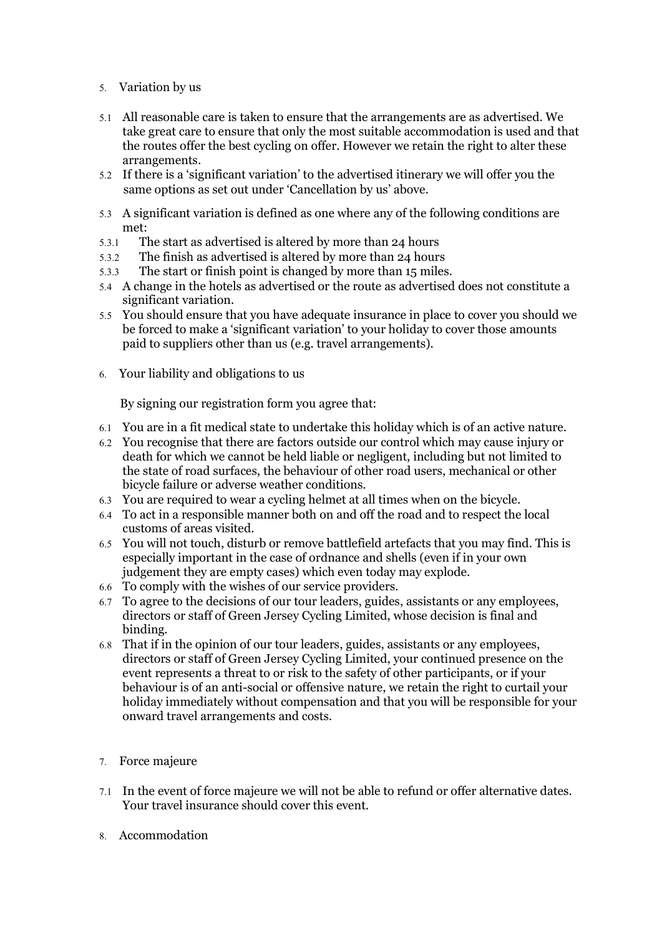- 5. Variation by us
- 5.1 All reasonable care is taken to ensure that the arrangements are as advertised. We take great care to ensure that only the most suitable accommodation is used and that the routes offer the best cycling on offer. However we retain the right to alter these arrangements.
- 5.2 If there is a 'significant variation' to the advertised itinerary we will offer you the same options as set out under 'Cancellation by us' above.
- 5.3 A significant variation is defined as one where any of the following conditions are met:
- 5.3.1 The start as advertised is altered by more than 24 hours
- 5.3.2 The finish as advertised is altered by more than 24 hours
- 5.3.3 The start or finish point is changed by more than 15 miles.
- 5.4 A change in the hotels as advertised or the route as advertised does not constitute a significant variation.
- 5.5 You should ensure that you have adequate insurance in place to cover you should we be forced to make a 'significant variation' to your holiday to cover those amounts paid to suppliers other than us (e.g. travel arrangements).
- 6. Your liability and obligations to us

By signing our registration form you agree that:

- 6.1 You are in a fit medical state to undertake this holiday which is of an active nature.
- 6.2 You recognise that there are factors outside our control which may cause injury or death for which we cannot be held liable or negligent, including but not limited to the state of road surfaces, the behaviour of other road users, mechanical or other bicycle failure or adverse weather conditions.
- 6.3 You are required to wear a cycling helmet at all times when on the bicycle.
- 6.4 To act in a responsible manner both on and off the road and to respect the local customs of areas visited.
- 6.5 You will not touch, disturb or remove battlefield artefacts that you may find. This is especially important in the case of ordnance and shells (even if in your own judgement they are empty cases) which even today may explode.
- 6.6 To comply with the wishes of our service providers.
- 6.7 To agree to the decisions of our tour leaders, guides, assistants or any employees, directors or staff of Green Jersey Cycling Limited, whose decision is final and binding.
- 6.8 That if in the opinion of our tour leaders, guides, assistants or any employees, directors or staff of Green Jersey Cycling Limited, your continued presence on the event represents a threat to or risk to the safety of other participants, or if your behaviour is of an anti-social or offensive nature, we retain the right to curtail your holiday immediately without compensation and that you will be responsible for your onward travel arrangements and costs.
- 7. Force majeure
- 7.1 In the event of force majeure we will not be able to refund or offer alternative dates. Your travel insurance should cover this event.
- 8. Accommodation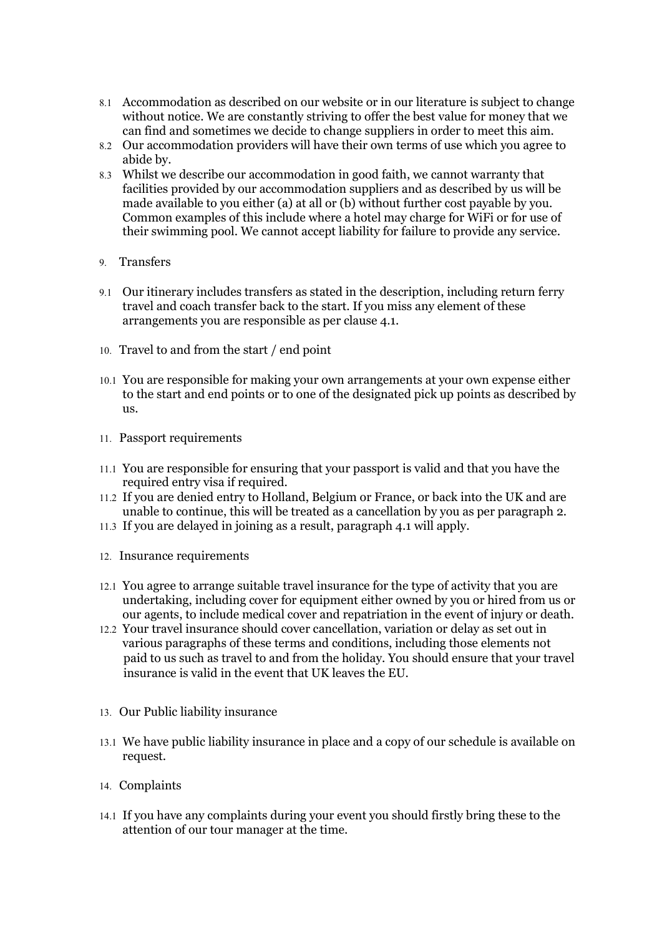- 8.1 Accommodation as described on our website or in our literature is subject to change without notice. We are constantly striving to offer the best value for money that we can find and sometimes we decide to change suppliers in order to meet this aim.
- 8.2 Our accommodation providers will have their own terms of use which you agree to abide by.
- 8.3 Whilst we describe our accommodation in good faith, we cannot warranty that facilities provided by our accommodation suppliers and as described by us will be made available to you either (a) at all or (b) without further cost payable by you. Common examples of this include where a hotel may charge for WiFi or for use of their swimming pool. We cannot accept liability for failure to provide any service.
- 9. Transfers
- 9.1 Our itinerary includes transfers as stated in the description, including return ferry travel and coach transfer back to the start. If you miss any element of these arrangements you are responsible as per clause 4.1.
- 10. Travel to and from the start / end point
- 10.1 You are responsible for making your own arrangements at your own expense either to the start and end points or to one of the designated pick up points as described by us.
- 11. Passport requirements
- 11.1 You are responsible for ensuring that your passport is valid and that you have the required entry visa if required.
- 11.2 If you are denied entry to Holland, Belgium or France, or back into the UK and are unable to continue, this will be treated as a cancellation by you as per paragraph 2.
- 11.3 If you are delayed in joining as a result, paragraph 4.1 will apply.
- 12. Insurance requirements
- 12.1 You agree to arrange suitable travel insurance for the type of activity that you are undertaking, including cover for equipment either owned by you or hired from us or our agents, to include medical cover and repatriation in the event of injury or death.
- 12.2 Your travel insurance should cover cancellation, variation or delay as set out in various paragraphs of these terms and conditions, including those elements not paid to us such as travel to and from the holiday. You should ensure that your travel insurance is valid in the event that UK leaves the EU.
- 13. Our Public liability insurance
- 13.1 We have public liability insurance in place and a copy of our schedule is available on request.
- 14. Complaints
- 14.1 If you have any complaints during your event you should firstly bring these to the attention of our tour manager at the time.